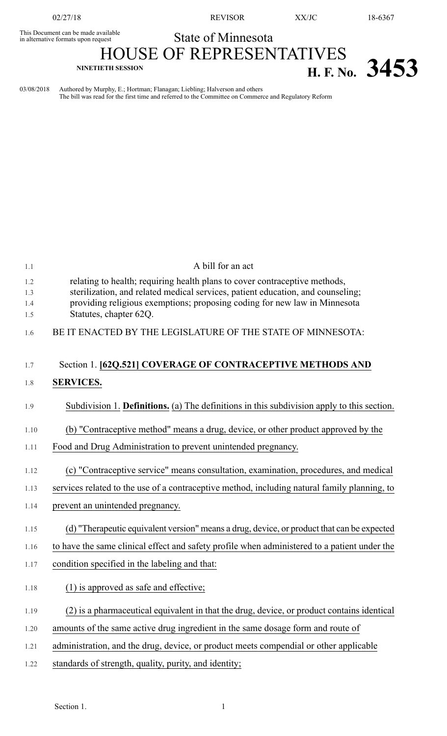This Document can be made available<br>in alternative formats upon request

02/27/18 REVISOR XX/JC 18-6367

## State of Minnesota

**NINETIETH SESSION H. F. No. 3453**

## HOUSE OF REPRESENTATIVES

03/08/2018 Authored by Murphy, E.; Hortman; Flanagan; Liebling; Halverson and others The bill was read for the first time and referred to the Committee on Commerce and Regulatory Reform

| 1.1               | A bill for an act                                                                                                                                                                                                                          |
|-------------------|--------------------------------------------------------------------------------------------------------------------------------------------------------------------------------------------------------------------------------------------|
| 1.2<br>1.3<br>1.4 | relating to health; requiring health plans to cover contraceptive methods,<br>sterilization, and related medical services, patient education, and counseling;<br>providing religious exemptions; proposing coding for new law in Minnesota |
| 1.5               | Statutes, chapter 62Q.                                                                                                                                                                                                                     |
| 1.6               | BE IT ENACTED BY THE LEGISLATURE OF THE STATE OF MINNESOTA:                                                                                                                                                                                |
| 1.7               | Section 1. [62Q.521] COVERAGE OF CONTRACEPTIVE METHODS AND                                                                                                                                                                                 |
| 1.8               | <b>SERVICES.</b>                                                                                                                                                                                                                           |
| 1.9               | Subdivision 1. <b>Definitions.</b> (a) The definitions in this subdivision apply to this section.                                                                                                                                          |
| 1.10              | (b) "Contraceptive method" means a drug, device, or other product approved by the                                                                                                                                                          |
| 1.11              | Food and Drug Administration to prevent unintended pregnancy.                                                                                                                                                                              |
| 1.12              | (c) "Contraceptive service" means consultation, examination, procedures, and medical                                                                                                                                                       |
| 1.13              | services related to the use of a contraceptive method, including natural family planning, to                                                                                                                                               |
| 1.14              | prevent an unintended pregnancy.                                                                                                                                                                                                           |
| 1.15              | (d) "Therapeutic equivalent version" means a drug, device, or product that can be expected                                                                                                                                                 |
| 1.16              | to have the same clinical effect and safety profile when administered to a patient under the                                                                                                                                               |
| 1.17              | condition specified in the labeling and that:                                                                                                                                                                                              |
| 1.18              | $(1)$ is approved as safe and effective;                                                                                                                                                                                                   |
| 1.19              | (2) is a pharmaceutical equivalent in that the drug, device, or product contains identical                                                                                                                                                 |
| 1.20              | amounts of the same active drug ingredient in the same dosage form and route of                                                                                                                                                            |
| 1.21              | administration, and the drug, device, or product meets compendial or other applicable                                                                                                                                                      |
| 1.22              | standards of strength, quality, purity, and identity;                                                                                                                                                                                      |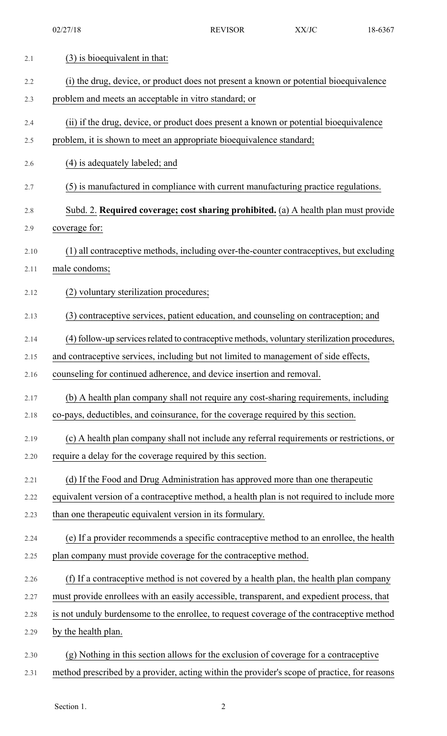| 2.1  | (3) is bioequivalent in that:                                                                |
|------|----------------------------------------------------------------------------------------------|
| 2.2  | (i) the drug, device, or product does not present a known or potential bioequivalence        |
| 2.3  | problem and meets an acceptable in vitro standard; or                                        |
| 2.4  | (ii) if the drug, device, or product does present a known or potential bioequivalence        |
| 2.5  | problem, it is shown to meet an appropriate bioequivalence standard;                         |
| 2.6  | (4) is adequately labeled; and                                                               |
| 2.7  | (5) is manufactured in compliance with current manufacturing practice regulations.           |
| 2.8  | Subd. 2. Required coverage; cost sharing prohibited. (a) A health plan must provide          |
| 2.9  | coverage for:                                                                                |
| 2.10 | (1) all contraceptive methods, including over-the-counter contraceptives, but excluding      |
| 2.11 | male condoms;                                                                                |
| 2.12 | (2) voluntary sterilization procedures;                                                      |
| 2.13 | (3) contraceptive services, patient education, and counseling on contraception; and          |
| 2.14 | (4) follow-up services related to contraceptive methods, voluntary sterilization procedures, |
| 2.15 | and contraceptive services, including but not limited to management of side effects,         |
| 2.16 | counseling for continued adherence, and device insertion and removal.                        |
| 2.17 | (b) A health plan company shall not require any cost-sharing requirements, including         |
| 2.18 | co-pays, deductibles, and coinsurance, for the coverage required by this section.            |
| 2.19 | (c) A health plan company shall not include any referral requirements or restrictions, or    |
| 2.20 | require a delay for the coverage required by this section.                                   |
| 2.21 | (d) If the Food and Drug Administration has approved more than one therapeutic               |
| 2.22 | equivalent version of a contraceptive method, a health plan is not required to include more  |
| 2.23 | than one therapeutic equivalent version in its formulary.                                    |
| 2.24 | (e) If a provider recommends a specific contraceptive method to an enrollee, the health      |
| 2.25 | plan company must provide coverage for the contraceptive method.                             |
| 2.26 | (f) If a contraceptive method is not covered by a health plan, the health plan company       |
| 2.27 | must provide enrollees with an easily accessible, transparent, and expedient process, that   |
| 2.28 | is not unduly burdensome to the enrollee, to request coverage of the contraceptive method    |
| 2.29 | by the health plan.                                                                          |
| 2.30 | (g) Nothing in this section allows for the exclusion of coverage for a contraceptive         |
| 2.31 | method prescribed by a provider, acting within the provider's scope of practice, for reasons |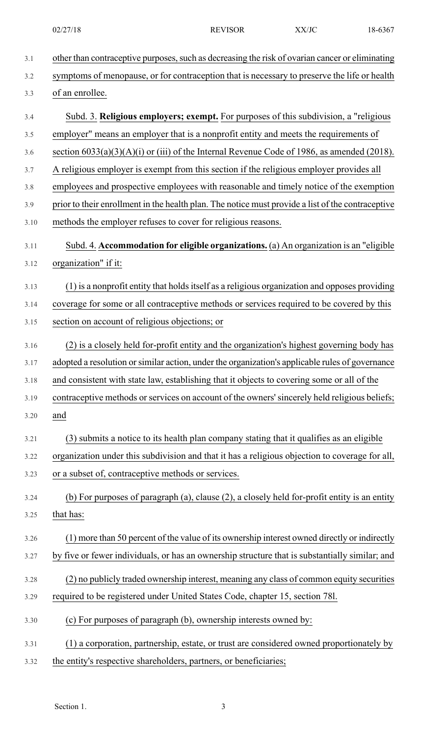| 3.1  | other than contraceptive purposes, such as decreasing the risk of ovarian cancer or eliminating   |
|------|---------------------------------------------------------------------------------------------------|
| 3.2  | symptoms of menopause, or for contraception that is necessary to preserve the life or health      |
| 3.3  | of an enrollee.                                                                                   |
| 3.4  | Subd. 3. Religious employers; exempt. For purposes of this subdivision, a "religious"             |
| 3.5  | employer" means an employer that is a nonprofit entity and meets the requirements of              |
| 3.6  | section $6033(a)(3)(A)(i)$ or (iii) of the Internal Revenue Code of 1986, as amended (2018).      |
| 3.7  | A religious employer is exempt from this section if the religious employer provides all           |
| 3.8  | employees and prospective employees with reasonable and timely notice of the exemption            |
| 3.9  | prior to their enrollment in the health plan. The notice must provide a list of the contraceptive |
| 3.10 | methods the employer refuses to cover for religious reasons.                                      |
| 3.11 | Subd. 4. Accommodation for eligible organizations. (a) An organization is an "eligible            |
| 3.12 | organization" if it:                                                                              |
| 3.13 | (1) is a nonprofit entity that holds itself as a religious organization and opposes providing     |
| 3.14 | coverage for some or all contraceptive methods or services required to be covered by this         |
| 3.15 | section on account of religious objections; or                                                    |
| 3.16 | (2) is a closely held for-profit entity and the organization's highest governing body has         |
| 3.17 | adopted a resolution or similar action, under the organization's applicable rules of governance   |
| 3.18 | and consistent with state law, establishing that it objects to covering some or all of the        |
| 3.19 | contraceptive methods or services on account of the owners' sincerely held religious beliefs;     |
| 3.20 | and                                                                                               |
| 3.21 | (3) submits a notice to its health plan company stating that it qualifies as an eligible          |
| 3.22 | organization under this subdivision and that it has a religious objection to coverage for all,    |
| 3.23 | or a subset of, contraceptive methods or services.                                                |
| 3.24 | (b) For purposes of paragraph (a), clause (2), a closely held for-profit entity is an entity      |
| 3.25 | that has:                                                                                         |
| 3.26 | (1) more than 50 percent of the value of its ownership interest owned directly or indirectly      |
| 3.27 | by five or fewer individuals, or has an ownership structure that is substantially similar; and    |
| 3.28 | (2) no publicly traded ownership interest, meaning any class of common equity securities          |
| 3.29 | required to be registered under United States Code, chapter 15, section 781.                      |
| 3.30 | (c) For purposes of paragraph (b), ownership interests owned by:                                  |
| 3.31 | (1) a corporation, partnership, estate, or trust are considered owned proportionately by          |
| 3.32 | the entity's respective shareholders, partners, or beneficiaries;                                 |